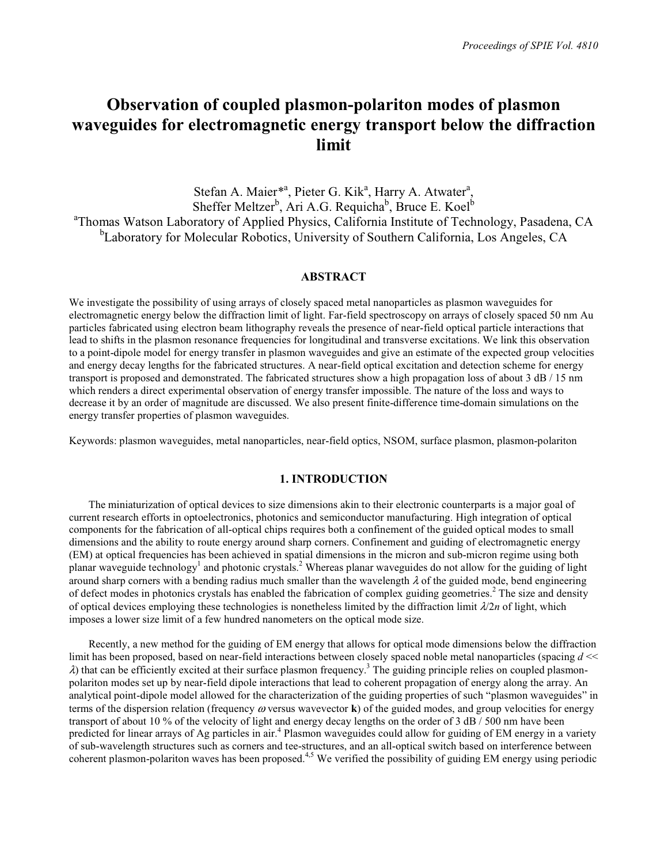# **Observation of coupled plasmon-polariton modes of plasmon waveguides for electromagnetic energy transport below the diffraction limit**

Stefan A. Maier\*<sup>a</sup>, Pieter G. Kik<sup>a</sup>, Harry A. Atwater<sup>a</sup>, Sheffer Meltzer<sup>b</sup>, Ari A.G. Requicha<sup>b</sup>, Bruce E. Koel<sup>b</sup> <sup>a</sup>Thomas Watson Laboratory of Applied Physics, California Institute of Technology, Pasadena, CA <sup>b</sup>Laboratory for Molecular Robotics, University of Southern California, Los Angeles, CA

# **ABSTRACT**

We investigate the possibility of using arrays of closely spaced metal nanoparticles as plasmon waveguides for electromagnetic energy below the diffraction limit of light. Far-field spectroscopy on arrays of closely spaced 50 nm Au particles fabricated using electron beam lithography reveals the presence of near-field optical particle interactions that lead to shifts in the plasmon resonance frequencies for longitudinal and transverse excitations. We link this observation to a point-dipole model for energy transfer in plasmon waveguides and give an estimate of the expected group velocities and energy decay lengths for the fabricated structures. A near-field optical excitation and detection scheme for energy transport is proposed and demonstrated. The fabricated structures show a high propagation loss of about 3 dB / 15 nm which renders a direct experimental observation of energy transfer impossible. The nature of the loss and ways to decrease it by an order of magnitude are discussed. We also present finite-difference time-domain simulations on the energy transfer properties of plasmon waveguides.

Keywords: plasmon waveguides, metal nanoparticles, near-field optics, NSOM, surface plasmon, plasmon-polariton

## **1. INTRODUCTION**

 The miniaturization of optical devices to size dimensions akin to their electronic counterparts is a major goal of current research efforts in optoelectronics, photonics and semiconductor manufacturing. High integration of optical components for the fabrication of all-optical chips requires both a confinement of the guided optical modes to small dimensions and the ability to route energy around sharp corners. Confinement and guiding of electromagnetic energy (EM) at optical frequencies has been achieved in spatial dimensions in the micron and sub-micron regime using both planar waveguide technology<sup>1</sup> and photonic crystals.<sup>2</sup> Whereas planar waveguides do not allow for the guiding of light around sharp corners with a bending radius much smaller than the wavelength  $\lambda$  of the guided mode, bend engineering of defect modes in photonics crystals has enabled the fabrication of complex guiding geometries.<sup>2</sup> The size and density of optical devices employing these technologies is nonetheless limited by the diffraction limit λ/2*n* of light, which imposes a lower size limit of a few hundred nanometers on the optical mode size.

 Recently, a new method for the guiding of EM energy that allows for optical mode dimensions below the diffraction limit has been proposed, based on near-field interactions between closely spaced noble metal nanoparticles (spacing *d* <<  $\lambda$ ) that can be efficiently excited at their surface plasmon frequency.<sup>3</sup> The guiding principle relies on coupled plasmonpolariton modes set up by near-field dipole interactions that lead to coherent propagation of energy along the array. An analytical point-dipole model allowed for the characterization of the guiding properties of such "plasmon waveguides" in terms of the dispersion relation (frequency  $\omega$  versus wavevector **k**) of the guided modes, and group velocities for energy transport of about 10 % of the velocity of light and energy decay lengths on the order of 3 dB / 500 nm have been predicted for linear arrays of Ag particles in air.<sup>4</sup> Plasmon waveguides could allow for guiding of EM energy in a variety of sub-wavelength structures such as corners and tee-structures, and an all-optical switch based on interference between coherent plasmon-polariton waves has been proposed.<sup>4,5</sup> We verified the possibility of guiding EM energy using periodic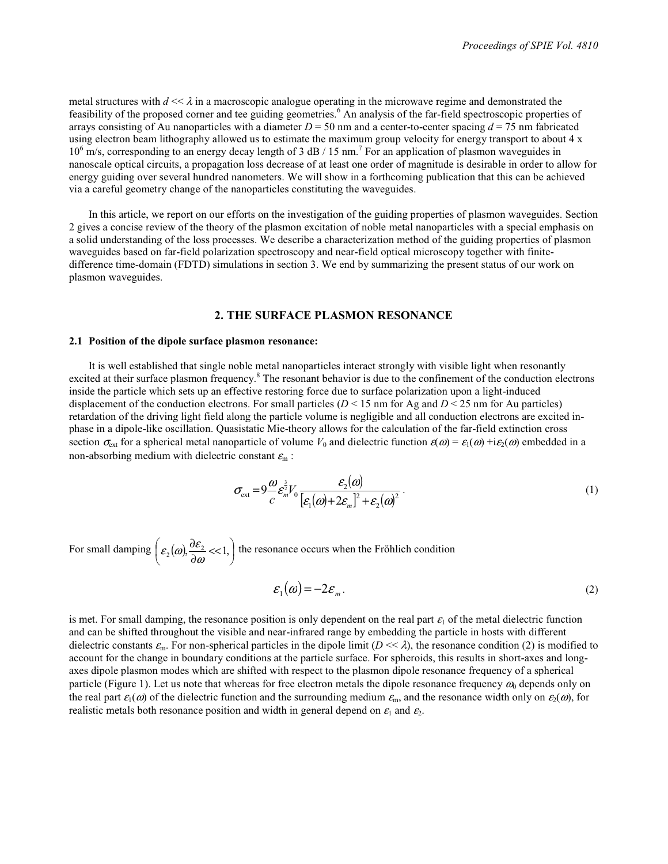metal structures with  $d \ll \lambda$  in a macroscopic analogue operating in the microwave regime and demonstrated the feasibility of the proposed corner and tee guiding geometries.<sup>6</sup> An analysis of the far-field spectroscopic properties of arrays consisting of Au nanoparticles with a diameter  $D = 50$  nm and a center-to-center spacing  $d = 75$  nm fabricated using electron beam lithography allowed us to estimate the maximum group velocity for energy transport to about 4 x 10<sup>6</sup> m/s, corresponding to an energy decay length of 3 dB / 15 nm.<sup>7</sup> For an application of plasmon waveguides in nanoscale optical circuits, a propagation loss decrease of at least one order of magnitude is desirable in order to allow for energy guiding over several hundred nanometers. We will show in a forthcoming publication that this can be achieved via a careful geometry change of the nanoparticles constituting the waveguides.

 In this article, we report on our efforts on the investigation of the guiding properties of plasmon waveguides. Section 2 gives a concise review of the theory of the plasmon excitation of noble metal nanoparticles with a special emphasis on a solid understanding of the loss processes. We describe a characterization method of the guiding properties of plasmon waveguides based on far-field polarization spectroscopy and near-field optical microscopy together with finitedifference time-domain (FDTD) simulations in section 3. We end by summarizing the present status of our work on plasmon waveguides.

# **2. THE SURFACE PLASMON RESONANCE**

### **2.1 Position of the dipole surface plasmon resonance:**

 It is well established that single noble metal nanoparticles interact strongly with visible light when resonantly excited at their surface plasmon frequency.<sup>8</sup> The resonant behavior is due to the confinement of the conduction electrons inside the particle which sets up an effective restoring force due to surface polarization upon a light-induced displacement of the conduction electrons. For small particles ( $D < 15$  nm for Ag and  $D < 25$  nm for Au particles) retardation of the driving light field along the particle volume is negligible and all conduction electrons are excited inphase in a dipole-like oscillation. Quasistatic Mie-theory allows for the calculation of the far-field extinction cross section  $\sigma_{ext}$  for a spherical metal nanoparticle of volume  $V_0$  and dielectric function  $\varepsilon(\omega) = \varepsilon_1(\omega) + i\varepsilon_2(\omega)$  embedded in a non-absorbing medium with dielectric constant  $\varepsilon_m$ :

$$
\sigma_{\text{ext}} = 9 \frac{\omega}{c} \varepsilon_m^{\frac{3}{2}} V_0 \frac{\varepsilon_2(\omega)}{\left[\varepsilon_1(\omega) + 2\varepsilon_m\right]^2 + \varepsilon_2(\omega)^2} \,. \tag{1}
$$

For small damping 
$$
\left(\varepsilon_2(\omega), \frac{\partial \varepsilon_2}{\partial \omega}\right)
$$
, the resonance occurs when the Fröhlich condition

$$
\varepsilon_1(\omega) = -2\varepsilon_m. \tag{2}
$$

is met. For small damping, the resonance position is only dependent on the real part  $\varepsilon_1$  of the metal dielectric function and can be shifted throughout the visible and near-infrared range by embedding the particle in hosts with different dielectric constants  $\varepsilon_m$ . For non-spherical particles in the dipole limit  $(D \ll \lambda)$ , the resonance condition (2) is modified to account for the change in boundary conditions at the particle surface. For spheroids, this results in short-axes and longaxes dipole plasmon modes which are shifted with respect to the plasmon dipole resonance frequency of a spherical particle (Figure 1). Let us note that whereas for free electron metals the dipole resonance frequency  $\omega_0$  depends only on the real part  $\varepsilon_1(\omega)$  of the dielectric function and the surrounding medium  $\varepsilon_m$ , and the resonance width only on  $\varepsilon_2(\omega)$ , for realistic metals both resonance position and width in general depend on  $\varepsilon_1$  and  $\varepsilon_2$ .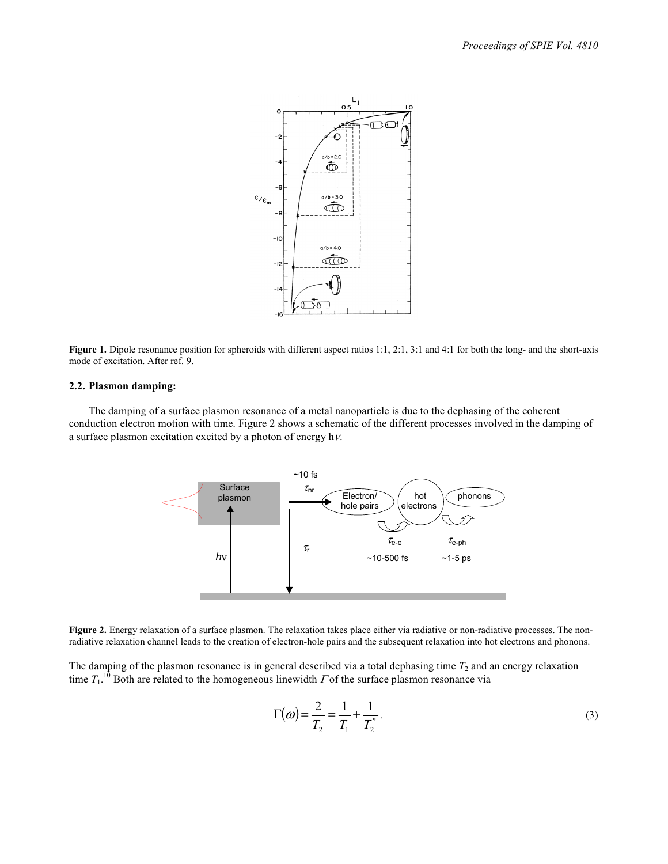

**Figure 1.** Dipole resonance position for spheroids with different aspect ratios 1:1, 2:1, 3:1 and 4:1 for both the long- and the short-axis mode of excitation. After ref. 9.

## **2.2. Plasmon damping:**

 The damping of a surface plasmon resonance of a metal nanoparticle is due to the dephasing of the coherent conduction electron motion with time. Figure 2 shows a schematic of the different processes involved in the damping of a surface plasmon excitation excited by a photon of energy hν.



**Figure 2.** Energy relaxation of a surface plasmon. The relaxation takes place either via radiative or non-radiative processes. The nonradiative relaxation channel leads to the creation of electron-hole pairs and the subsequent relaxation into hot electrons and phonons.

The damping of the plasmon resonance is in general described via a total dephasing time  $T_2$  and an energy relaxation time  $T_1$ <sup>10</sup> Both are related to the homogeneous linewidth  $\Gamma$  of the surface plasmon resonance via

$$
\Gamma(\omega) = \frac{2}{T_2} = \frac{1}{T_1} + \frac{1}{T_2^*}.
$$
\n(3)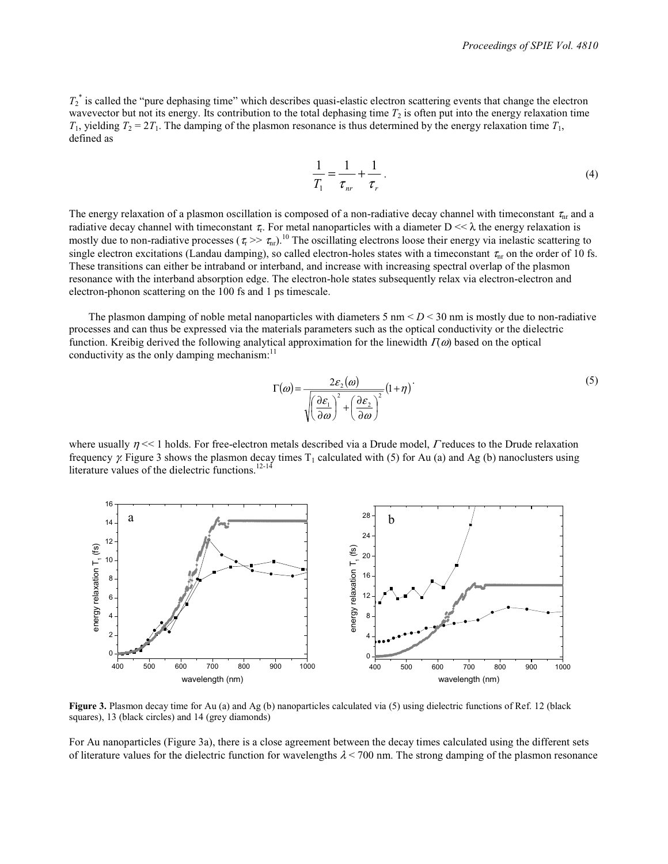$T_2^*$  is called the "pure dephasing time" which describes quasi-elastic electron scattering events that change the electron wavevector but not its energy. Its contribution to the total dephasing time  $T_2$  is often put into the energy relaxation time *T*<sub>1</sub>, yielding *T*<sub>2</sub> = 2*T*<sub>1</sub>. The damping of the plasmon resonance is thus determined by the energy relaxation time *T*<sub>1</sub>, defined as

$$
\frac{1}{T_1} = \frac{1}{\tau_{nr}} + \frac{1}{\tau_r} \tag{4}
$$

The energy relaxation of a plasmon oscillation is composed of a non-radiative decay channel with timeconstant  $\tau_{nr}$  and a radiative decay channel with timeconstant  $\tau_r$ . For metal nanoparticles with a diameter  $D \ll \lambda$  the energy relaxation is mostly due to non-radiative processes ( $\tau \gg \tau_{\rm nr}$ ).<sup>10</sup> The oscillating electrons loose their energy via inelastic scattering to single electron excitations (Landau damping), so called electron-holes states with a timeconstant  $\tau_{nr}$  on the order of 10 fs. These transitions can either be intraband or interband, and increase with increasing spectral overlap of the plasmon resonance with the interband absorption edge. The electron-hole states subsequently relax via electron-electron and electron-phonon scattering on the 100 fs and 1 ps timescale.

The plasmon damping of noble metal nanoparticles with diameters  $5 \text{ nm} < D < 30 \text{ nm}$  is mostly due to non-radiative processes and can thus be expressed via the materials parameters such as the optical conductivity or the dielectric function. Kreibig derived the following analytical approximation for the linewidth  $\Gamma(\omega)$  based on the optical conductivity as the only damping mechanism: $11$ 

$$
\Gamma(\omega) = \frac{2\varepsilon_2(\omega)}{\sqrt{\left(\frac{\partial \varepsilon_1}{\partial \omega}\right)^2 + \left(\frac{\partial \varepsilon_2}{\partial \omega}\right)^2}} (1 + \eta) \tag{5}
$$

where usually  $\eta \ll 1$  holds. For free-electron metals described via a Drude model,  $\Gamma$  reduces to the Drude relaxation frequency γ. Figure 3 shows the plasmon decay times T<sub>1</sub> calculated with (5) for Au (a) and Ag (b) nanoclusters using literature values of the dielectric functions. $12-14$ 



**Figure 3.** Plasmon decay time for Au (a) and Ag (b) nanoparticles calculated via (5) using dielectric functions of Ref. 12 (black squares), 13 (black circles) and 14 (grey diamonds)

For Au nanoparticles (Figure 3a), there is a close agreement between the decay times calculated using the different sets of literature values for the dielectric function for wavelengths  $\lambda$  < 700 nm. The strong damping of the plasmon resonance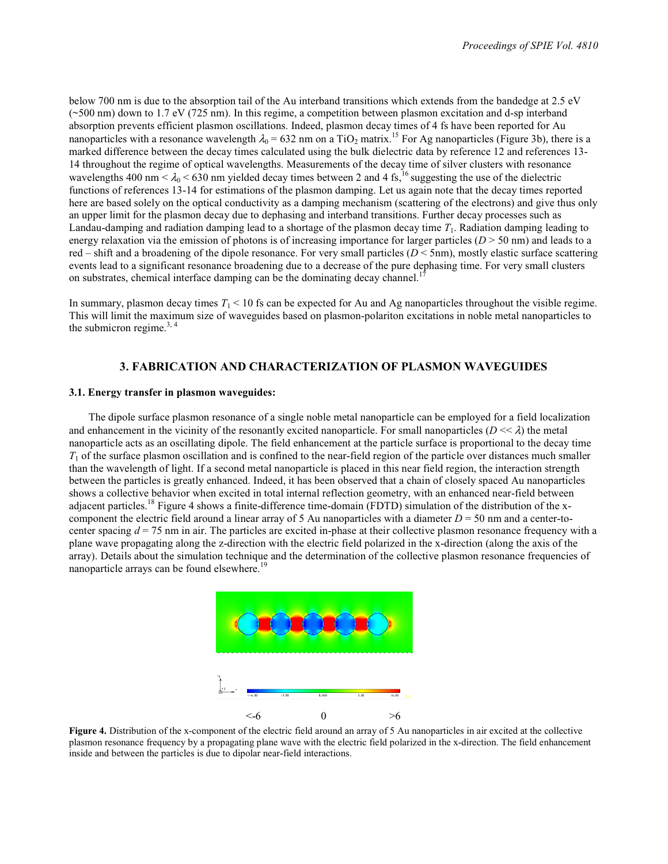below 700 nm is due to the absorption tail of the Au interband transitions which extends from the bandedge at 2.5 eV (~500 nm) down to 1.7 eV (725 nm). In this regime, a competition between plasmon excitation and d-sp interband absorption prevents efficient plasmon oscillations. Indeed, plasmon decay times of 4 fs have been reported for Au nanoparticles with a resonance wavelength  $\lambda_0 = 632$  nm on a TiO<sub>2</sub> matrix.<sup>15</sup> For Ag nanoparticles (Figure 3b), there is a marked difference between the decay times calculated using the bulk dielectric data by reference 12 and references 13- 14 throughout the regime of optical wavelengths. Measurements of the decay time of silver clusters with resonance wavelengths 400 nm  $< \lambda_0 < 630$  nm yielded decay times between 2 and 4 fs,<sup>16</sup> suggesting the use of the dielectric functions of references 13-14 for estimations of the plasmon damping. Let us again note that the decay times reported here are based solely on the optical conductivity as a damping mechanism (scattering of the electrons) and give thus only an upper limit for the plasmon decay due to dephasing and interband transitions. Further decay processes such as Landau-damping and radiation damping lead to a shortage of the plasmon decay time *T*1. Radiation damping leading to energy relaxation via the emission of photons is of increasing importance for larger particles  $(D > 50 \text{ nm})$  and leads to a red – shift and a broadening of the dipole resonance. For very small particles (*D* < 5nm), mostly elastic surface scattering events lead to a significant resonance broadening due to a decrease of the pure dephasing time. For very small clusters on substrates, chemical interface damping can be the dominating decay channel.<sup>1</sup>

In summary, plasmon decay times  $T_1 < 10$  fs can be expected for Au and Ag nanoparticles throughout the visible regime. This will limit the maximum size of waveguides based on plasmon-polariton excitations in noble metal nanoparticles to the submicron regime. $3, 4$ 

# **3. FABRICATION AND CHARACTERIZATION OF PLASMON WAVEGUIDES**

## **3.1. Energy transfer in plasmon waveguides:**

 The dipole surface plasmon resonance of a single noble metal nanoparticle can be employed for a field localization and enhancement in the vicinity of the resonantly excited nanoparticle. For small nanoparticles  $(D \ll \lambda)$  the metal nanoparticle acts as an oscillating dipole. The field enhancement at the particle surface is proportional to the decay time  $T_1$  of the surface plasmon oscillation and is confined to the near-field region of the particle over distances much smaller than the wavelength of light. If a second metal nanoparticle is placed in this near field region, the interaction strength between the particles is greatly enhanced. Indeed, it has been observed that a chain of closely spaced Au nanoparticles shows a collective behavior when excited in total internal reflection geometry, with an enhanced near-field between adjacent particles.<sup>18</sup> Figure 4 shows a finite-difference time-domain (FDTD) simulation of the distribution of the xcomponent the electric field around a linear array of 5 Au nanoparticles with a diameter  $D = 50$  nm and a center-tocenter spacing *d* = 75 nm in air. The particles are excited in-phase at their collective plasmon resonance frequency with a plane wave propagating along the z-direction with the electric field polarized in the x-direction (along the axis of the array). Details about the simulation technique and the determination of the collective plasmon resonance frequencies of nanoparticle arrays can be found elsewhere.<sup>19</sup>



**Figure 4.** Distribution of the x-component of the electric field around an array of 5 Au nanoparticles in air excited at the collective plasmon resonance frequency by a propagating plane wave with the electric field polarized in the x-direction. The field enhancement inside and between the particles is due to dipolar near-field interactions.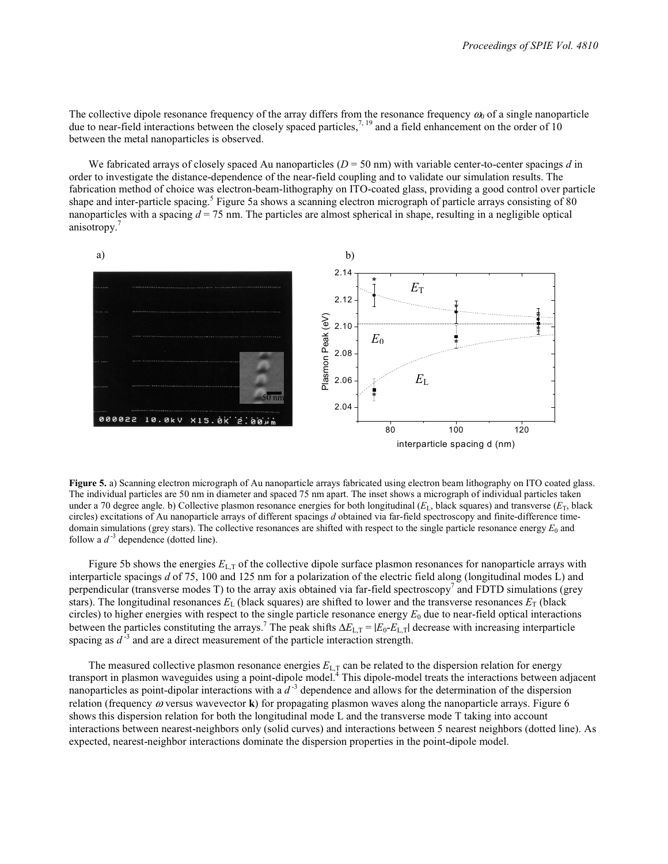The collective dipole resonance frequency of the array differs from the resonance frequency  $\omega_0$  of a single nanoparticle due to near-field interactions between the closely spaced particles,<sup>7, 19</sup> and a field enhancement on the order of 10 between the metal nanoparticles is observed.

We fabricated arrays of closely spaced Au nanoparticles  $(D = 50 \text{ nm})$  with variable center-to-center spacings *d* in order to investigate the distance-dependence of the near-field coupling and to validate our simulation results. The fabrication method of choice was electron-beam-lithography on ITO-coated glass, providing a good control over particle shape and inter-particle spacing.<sup>5</sup> Figure 5a shows a scanning electron micrograph of particle arrays consisting of 80 nanoparticles with a spacing *d* = 75 nm. The particles are almost spherical in shape, resulting in a negligible optical anisotropy.<sup>7</sup>



interparticle spacing d (nm)

**Figure 5.** a) Scanning electron micrograph of Au nanoparticle arrays fabricated using electron beam lithography on ITO coated glass. The individual particles are 50 nm in diameter and spaced 75 nm apart. The inset shows a micrograph of individual particles taken under a 70 degree angle. b) Collective plasmon resonance energies for both longitudinal  $(E<sub>L</sub>$ , black squares) and transverse  $(E<sub>T</sub>$ , black circles) excitations of Au nanoparticle arrays of different spacings *d* obtained via far-field spectroscopy and finite-difference timedomain simulations (grey stars). The collective resonances are shifted with respect to the single particle resonance energy *E*0 and follow a  $d^{-3}$  dependence (dotted line).

Figure 5b shows the energies  $E_{LT}$  of the collective dipole surface plasmon resonances for nanoparticle arrays with interparticle spacings *d* of 75, 100 and 125 nm for a polarization of the electric field along (longitudinal modes L) and perpendicular (transverse modes T) to the array axis obtained via far-field spectroscopy<sup>7</sup> and FDTD simulations (grey stars). The longitudinal resonances  $E<sub>L</sub>$  (black squares) are shifted to lower and the transverse resonances  $E<sub>T</sub>$  (black circles) to higher energies with respect to the single particle resonance energy  $E_0$  due to near-field optical interactions between the particles constituting the arrays.<sup>7</sup> The peak shifts Δ*E*<sub>L,T</sub> = |*E*<sub>0</sub>-*E*<sub>L,T</sub>| decrease with increasing interparticle spacing as  $d^3$  and are a direct measurement of the particle interaction strength.

The measured collective plasmon resonance energies  $E_{L,T}$  can be related to the dispersion relation for energy transport in plasmon waveguides using a point-dipole model.<sup>4</sup> This dipole-model treats the interactions between adjacent nanoparticles as point-dipolar interactions with a  $d<sup>-3</sup>$  dependence and allows for the determination of the dispersion relation (frequency ω versus wavevector **k**) for propagating plasmon waves along the nanoparticle arrays. Figure 6 shows this dispersion relation for both the longitudinal mode L and the transverse mode T taking into account interactions between nearest-neighbors only (solid curves) and interactions between 5 nearest neighbors (dotted line). As expected, nearest-neighbor interactions dominate the dispersion properties in the point-dipole model.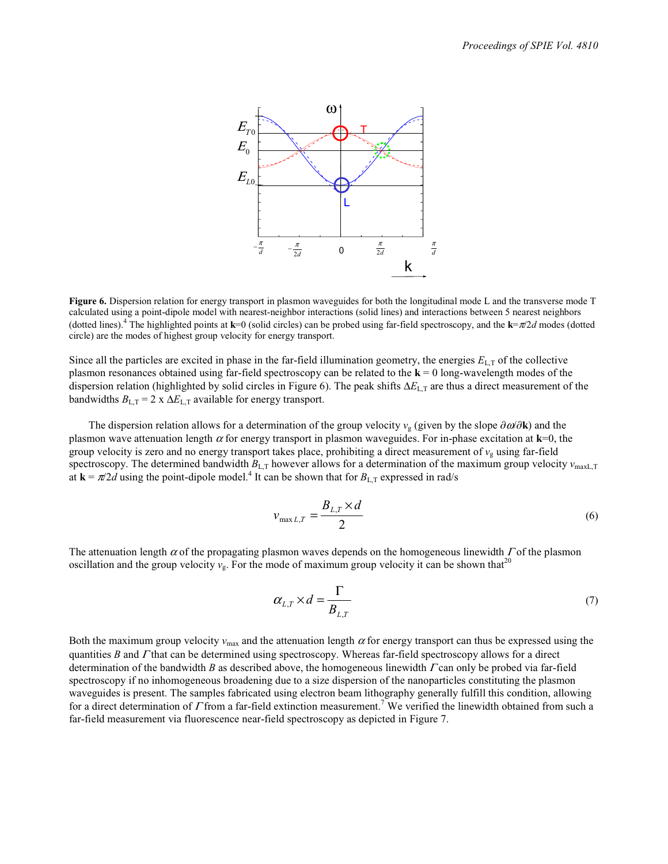

**Figure 6.** Dispersion relation for energy transport in plasmon waveguides for both the longitudinal mode L and the transverse mode T calculated using a point-dipole model with nearest-neighbor interactions (solid lines) and interactions between 5 nearest neighbors (dotted lines).<sup>4</sup> The highlighted points at **k**=0 (solid circles) can be probed using far-field spectroscopy, and the **k**=π/2*d* modes (dotted circle) are the modes of highest group velocity for energy transport.

Since all the particles are excited in phase in the far-field illumination geometry, the energies  $E_{L,T}$  of the collective plasmon resonances obtained using far-field spectroscopy can be related to the **k** = 0 long-wavelength modes of the dispersion relation (highlighted by solid circles in Figure 6). The peak shifts ∆*E*L,T are thus a direct measurement of the bandwidths  $B_{L,T} = 2 \times \Delta E_{L,T}$  available for energy transport.

The dispersion relation allows for a determination of the group velocity  $v_g$  (given by the slope  $\partial \omega / \partial \mathbf{k}$ ) and the plasmon wave attenuation length  $\alpha$  for energy transport in plasmon waveguides. For in-phase excitation at **k**=0, the group velocity is zero and no energy transport takes place, prohibiting a direct measurement of  $v<sub>g</sub>$  using far-field spectroscopy. The determined bandwidth  $B_{L,T}$  however allows for a determination of the maximum group velocity  $v_{\text{maxL,T}}$ at  $\mathbf{k} = \pi/2d$  using the point-dipole model.<sup>4</sup> It can be shown that for  $B_{\text{L,T}}$  expressed in rad/s

$$
v_{\max L,T} = \frac{B_{L,T} \times d}{2} \tag{6}
$$

The attenuation length  $\alpha$  of the propagating plasmon waves depends on the homogeneous linewidth  $\Gamma$  of the plasmon oscillation and the group velocity  $v_g$ . For the mode of maximum group velocity it can be shown that<sup>20</sup>

$$
\alpha_{L,T} \times d = \frac{\Gamma}{B_{L,T}} \tag{7}
$$

Both the maximum group velocity  $v_{\text{max}}$  and the attenuation length  $\alpha$  for energy transport can thus be expressed using the quantities *B* and *Γ* that can be determined using spectroscopy. Whereas far-field spectroscopy allows for a direct determination of the bandwidth *B* as described above, the homogeneous linewidth Γ can only be probed via far-field spectroscopy if no inhomogeneous broadening due to a size dispersion of the nanoparticles constituting the plasmon waveguides is present. The samples fabricated using electron beam lithography generally fulfill this condition, allowing for a direct determination of  $\Gamma$  from a far-field extinction measurement.<sup>7</sup> We verified the linewidth obtained from such a far-field measurement via fluorescence near-field spectroscopy as depicted in Figure 7.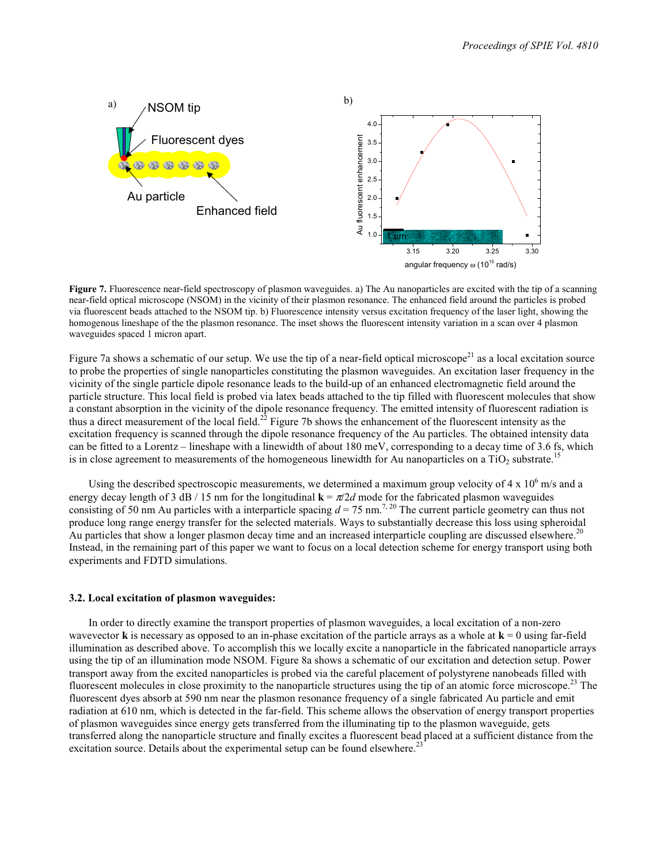

**Figure 7.** Fluorescence near-field spectroscopy of plasmon waveguides. a) The Au nanoparticles are excited with the tip of a scanning near-field optical microscope (NSOM) in the vicinity of their plasmon resonance. The enhanced field around the particles is probed via fluorescent beads attached to the NSOM tip. b) Fluorescence intensity versus excitation frequency of the laser light, showing the homogenous lineshape of the the plasmon resonance. The inset shows the fluorescent intensity variation in a scan over 4 plasmon waveguides spaced 1 micron apart.

Figure 7a shows a schematic of our setup. We use the tip of a near-field optical microscope<sup>21</sup> as a local excitation source to probe the properties of single nanoparticles constituting the plasmon waveguides. An excitation laser frequency in the vicinity of the single particle dipole resonance leads to the build-up of an enhanced electromagnetic field around the particle structure. This local field is probed via latex beads attached to the tip filled with fluorescent molecules that show a constant absorption in the vicinity of the dipole resonance frequency. The emitted intensity of fluorescent radiation is thus a direct measurement of the local field.<sup>22</sup> Figure 7b shows the enhancement of the fluorescent intensity as the excitation frequency is scanned through the dipole resonance frequency of the Au particles. The obtained intensity data can be fitted to a Lorentz – lineshape with a linewidth of about 180 meV, corresponding to a decay time of 3.6 fs, which is in close agreement to measurements of the homogeneous linewidth for Au nanoparticles on a  $TiO<sub>2</sub>$  substrate.<sup>15</sup>

Using the described spectroscopic measurements, we determined a maximum group velocity of  $4 \times 10^6$  m/s and a energy decay length of 3 dB / 15 nm for the longitudinal  $\mathbf{k} = \pi/2d$  mode for the fabricated plasmon waveguides consisting of 50 nm Au particles with a interparticle spacing  $d = 75$  nm.<sup>7, 20</sup> The current particle geometry can thus not produce long range energy transfer for the selected materials. Ways to substantially decrease this loss using spheroidal Au particles that show a longer plasmon decay time and an increased interparticle coupling are discussed elsewhere.<sup>20</sup> Instead, in the remaining part of this paper we want to focus on a local detection scheme for energy transport using both experiments and FDTD simulations.

#### **3.2. Local excitation of plasmon waveguides:**

 In order to directly examine the transport properties of plasmon waveguides, a local excitation of a non-zero wavevector **k** is necessary as opposed to an in-phase excitation of the particle arrays as a whole at  $\mathbf{k} = 0$  using far-field illumination as described above. To accomplish this we locally excite a nanoparticle in the fabricated nanoparticle arrays using the tip of an illumination mode NSOM. Figure 8a shows a schematic of our excitation and detection setup. Power transport away from the excited nanoparticles is probed via the careful placement of polystyrene nanobeads filled with fluorescent molecules in close proximity to the nanoparticle structures using the tip of an atomic force microscope.<sup>23</sup> The fluorescent dyes absorb at 590 nm near the plasmon resonance frequency of a single fabricated Au particle and emit radiation at 610 nm, which is detected in the far-field. This scheme allows the observation of energy transport properties of plasmon waveguides since energy gets transferred from the illuminating tip to the plasmon waveguide, gets transferred along the nanoparticle structure and finally excites a fluorescent bead placed at a sufficient distance from the excitation source. Details about the experimental setup can be found elsewhere.<sup>2</sup>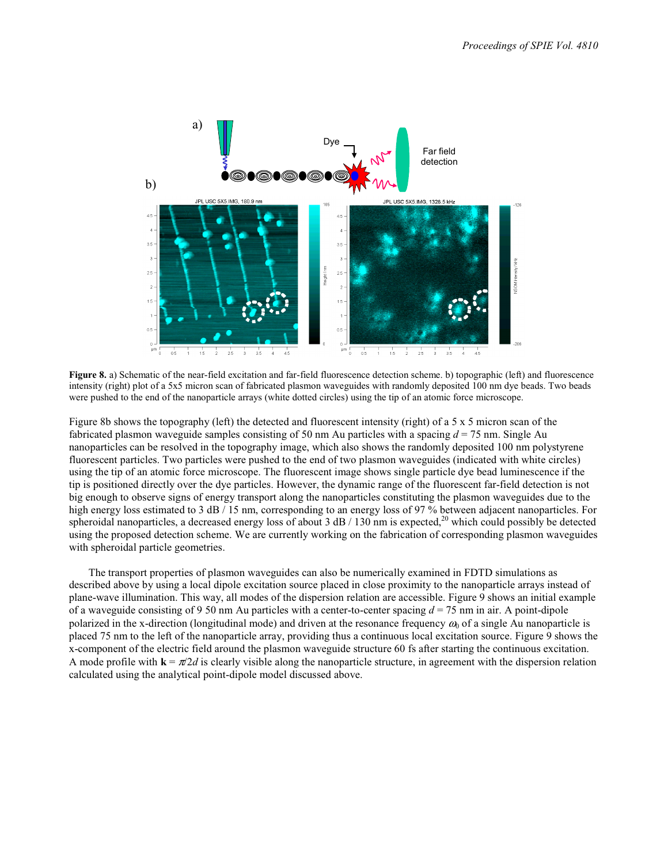

**Figure 8.** a) Schematic of the near-field excitation and far-field fluorescence detection scheme. b) topographic (left) and fluorescence intensity (right) plot of a 5x5 micron scan of fabricated plasmon waveguides with randomly deposited 100 nm dye beads. Two beads were pushed to the end of the nanoparticle arrays (white dotted circles) using the tip of an atomic force microscope.

Figure 8b shows the topography (left) the detected and fluorescent intensity (right) of a  $5 \times 5$  micron scan of the fabricated plasmon waveguide samples consisting of 50 nm Au particles with a spacing *d* = 75 nm. Single Au nanoparticles can be resolved in the topography image, which also shows the randomly deposited 100 nm polystyrene fluorescent particles. Two particles were pushed to the end of two plasmon waveguides (indicated with white circles) using the tip of an atomic force microscope. The fluorescent image shows single particle dye bead luminescence if the tip is positioned directly over the dye particles. However, the dynamic range of the fluorescent far-field detection is not big enough to observe signs of energy transport along the nanoparticles constituting the plasmon waveguides due to the high energy loss estimated to 3 dB / 15 nm, corresponding to an energy loss of 97 % between adjacent nanoparticles. For spheroidal nanoparticles, a decreased energy loss of about  $3$  dB  $/$  130 nm is expected,<sup>20</sup> which could possibly be detected using the proposed detection scheme. We are currently working on the fabrication of corresponding plasmon waveguides with spheroidal particle geometries.

 The transport properties of plasmon waveguides can also be numerically examined in FDTD simulations as described above by using a local dipole excitation source placed in close proximity to the nanoparticle arrays instead of plane-wave illumination. This way, all modes of the dispersion relation are accessible. Figure 9 shows an initial example of a waveguide consisting of 9 50 nm Au particles with a center-to-center spacing  $d = 75$  nm in air. A point-dipole polarized in the x-direction (longitudinal mode) and driven at the resonance frequency  $\omega_0$  of a single Au nanoparticle is placed 75 nm to the left of the nanoparticle array, providing thus a continuous local excitation source. Figure 9 shows the x-component of the electric field around the plasmon waveguide structure 60 fs after starting the continuous excitation. A mode profile with  $\mathbf{k} = \pi/2d$  is clearly visible along the nanoparticle structure, in agreement with the dispersion relation calculated using the analytical point-dipole model discussed above.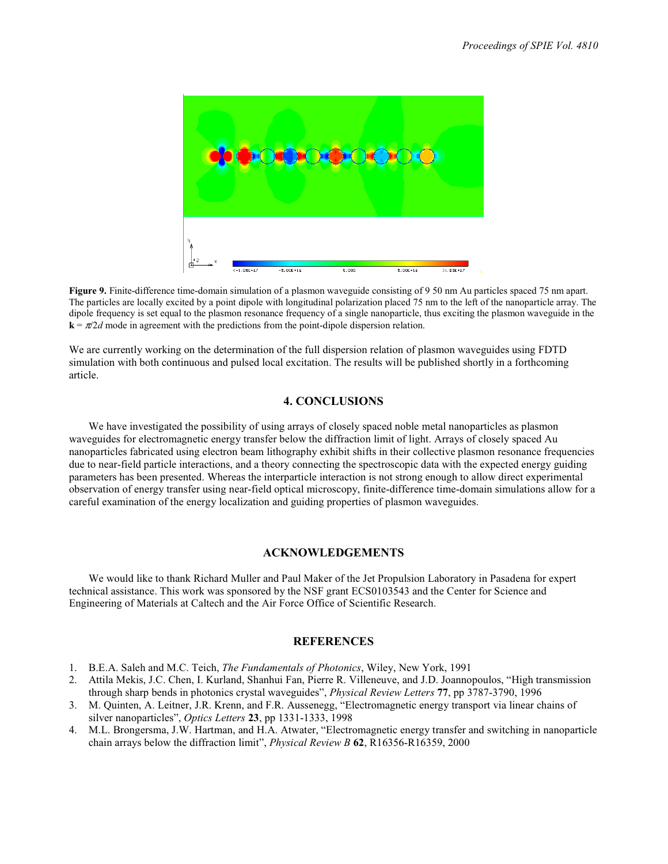

**Figure 9.** Finite-difference time-domain simulation of a plasmon waveguide consisting of 9 50 nm Au particles spaced 75 nm apart. The particles are locally excited by a point dipole with longitudinal polarization placed 75 nm to the left of the nanoparticle array. The dipole frequency is set equal to the plasmon resonance frequency of a single nanoparticle, thus exciting the plasmon waveguide in the  $\mathbf{k} = \pi/2d$  mode in agreement with the predictions from the point-dipole dispersion relation.

We are currently working on the determination of the full dispersion relation of plasmon waveguides using FDTD simulation with both continuous and pulsed local excitation. The results will be published shortly in a forthcoming article.

# **4. CONCLUSIONS**

 We have investigated the possibility of using arrays of closely spaced noble metal nanoparticles as plasmon waveguides for electromagnetic energy transfer below the diffraction limit of light. Arrays of closely spaced Au nanoparticles fabricated using electron beam lithography exhibit shifts in their collective plasmon resonance frequencies due to near-field particle interactions, and a theory connecting the spectroscopic data with the expected energy guiding parameters has been presented. Whereas the interparticle interaction is not strong enough to allow direct experimental observation of energy transfer using near-field optical microscopy, finite-difference time-domain simulations allow for a careful examination of the energy localization and guiding properties of plasmon waveguides.

# **ACKNOWLEDGEMENTS**

 We would like to thank Richard Muller and Paul Maker of the Jet Propulsion Laboratory in Pasadena for expert technical assistance. This work was sponsored by the NSF grant ECS0103543 and the Center for Science and Engineering of Materials at Caltech and the Air Force Office of Scientific Research.

# **REFERENCES**

- 1. B.E.A. Saleh and M.C. Teich, *The Fundamentals of Photonics*, Wiley, New York, 1991
- 2. Attila Mekis, J.C. Chen, I. Kurland, Shanhui Fan, Pierre R. Villeneuve, and J.D. Joannopoulos, "High transmission through sharp bends in photonics crystal waveguides", *Physical Review Letters* **77**, pp 3787-3790, 1996
- 3. M. Quinten, A. Leitner, J.R. Krenn, and F.R. Aussenegg, "Electromagnetic energy transport via linear chains of silver nanoparticles", *Optics Letters* **23**, pp 1331-1333, 1998
- 4. M.L. Brongersma, J.W. Hartman, and H.A. Atwater, "Electromagnetic energy transfer and switching in nanoparticle chain arrays below the diffraction limit", *Physical Review B* **62**, R16356-R16359, 2000